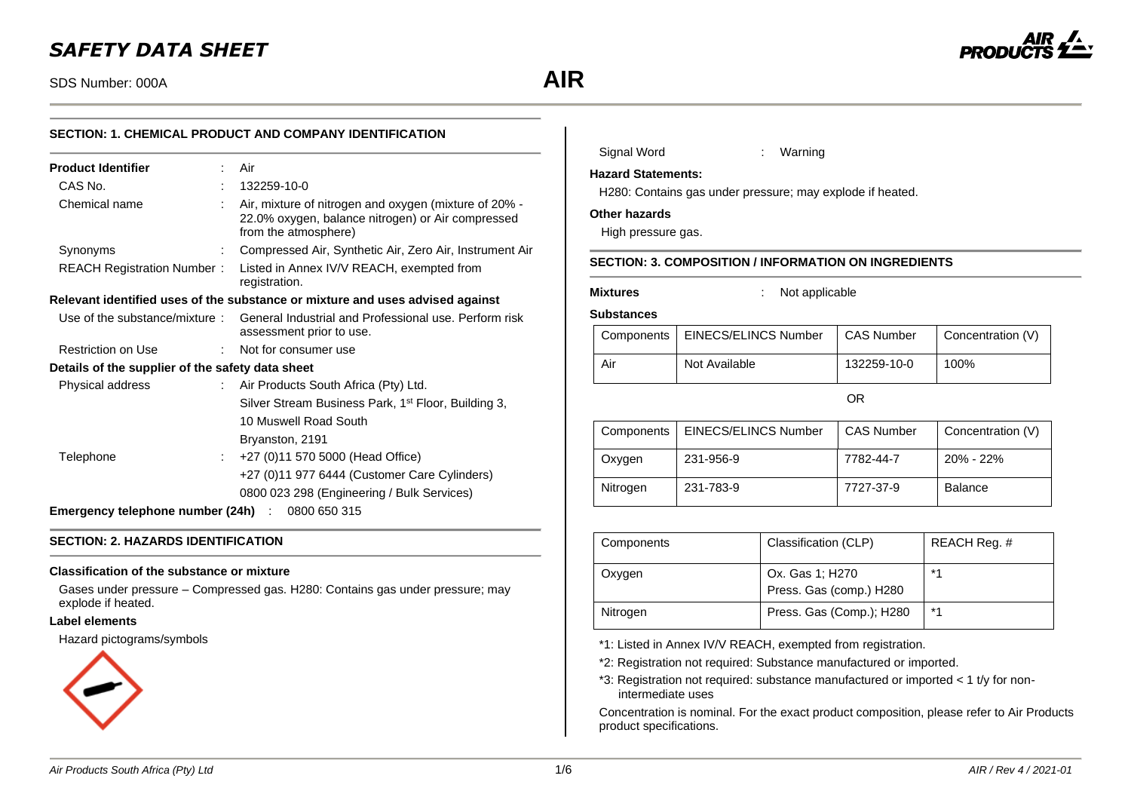# *SAFETY DATA SHEET*

SDS Number: 000A **AIR**



| SECTION: 1. CHEMICAL PRODUCT AND COMPANY IDENTIFICATION |                                                                                                                                    |  |
|---------------------------------------------------------|------------------------------------------------------------------------------------------------------------------------------------|--|
| <b>Product Identifier</b>                               | Air<br>t.                                                                                                                          |  |
| CAS No.                                                 | 132259-10-0                                                                                                                        |  |
| Chemical name                                           | Air, mixture of nitrogen and oxygen (mixture of 20% -<br>22.0% oxygen, balance nitrogen) or Air compressed<br>from the atmosphere) |  |
| Synonyms                                                | Compressed Air, Synthetic Air, Zero Air, Instrument Air                                                                            |  |
| <b>REACH Registration Number:</b>                       | Listed in Annex IV/V REACH, exempted from<br>registration.                                                                         |  |
|                                                         | Relevant identified uses of the substance or mixture and uses advised against                                                      |  |
| Use of the substance/mixture:                           | General Industrial and Professional use. Perform risk<br>assessment prior to use.                                                  |  |
| Restriction on Use                                      | Not for consumer use                                                                                                               |  |
| Details of the supplier of the safety data sheet        |                                                                                                                                    |  |
| Physical address                                        | Air Products South Africa (Pty) Ltd.                                                                                               |  |
|                                                         | Silver Stream Business Park, 1 <sup>st</sup> Floor, Building 3,                                                                    |  |
|                                                         | 10 Muswell Road South                                                                                                              |  |
|                                                         | Bryanston, 2191                                                                                                                    |  |
| Telephone                                               | +27 (0)11 570 5000 (Head Office)                                                                                                   |  |
|                                                         | +27 (0)11 977 6444 (Customer Care Cylinders)                                                                                       |  |
|                                                         | 0800 023 298 (Engineering / Bulk Services)                                                                                         |  |
| <b>Emergency telephone number (24h)</b> : 0800 650 315  |                                                                                                                                    |  |

# **SECTION: 2. HAZARDS IDENTIFICATION**

#### **Classification of the substance or mixture**

Gases under pressure – Compressed gas. H280: Contains gas under pressure; may explode if heated.

### **Label elements**

Hazard pictograms/symbols



| Signal Word               | Warning |
|---------------------------|---------|
| <b>Hazard Statements:</b> |         |

H280: Contains gas under pressure; may explode if heated.

#### **Other hazards**

High pressure gas.

# **SECTION: 3. COMPOSITION / INFORMATION ON INGREDIENTS**

**Mixtures** : Not applicable

#### **Substances**

|     | Components   EINECS/ELINCS Number | <b>CAS Number</b> | Concentration (V) |
|-----|-----------------------------------|-------------------|-------------------|
| Air | Not Available                     | 132259-10-0       | 100%              |

OR

| Components | EINECS/ELINCS Number | <b>CAS Number</b> | Concentration (V) |
|------------|----------------------|-------------------|-------------------|
| Oxygen     | 231-956-9            | 7782-44-7         | $20\% - 22\%$     |
| Nitrogen   | 231-783-9            | 7727-37-9         | Balance           |

| Components | Classification (CLP)                       | REACH Req. # |
|------------|--------------------------------------------|--------------|
| Oxygen     | Ox. Gas 1; H270<br>Press. Gas (comp.) H280 | $*4$         |
| Nitrogen   | Press. Gas (Comp.); H280                   | $*1$         |

\*1: Listed in Annex IV/V REACH, exempted from registration.

\*2: Registration not required: Substance manufactured or imported.

\*3: Registration not required: substance manufactured or imported < 1 t/y for nonintermediate uses

Concentration is nominal. For the exact product composition, please refer to Air Products product specifications.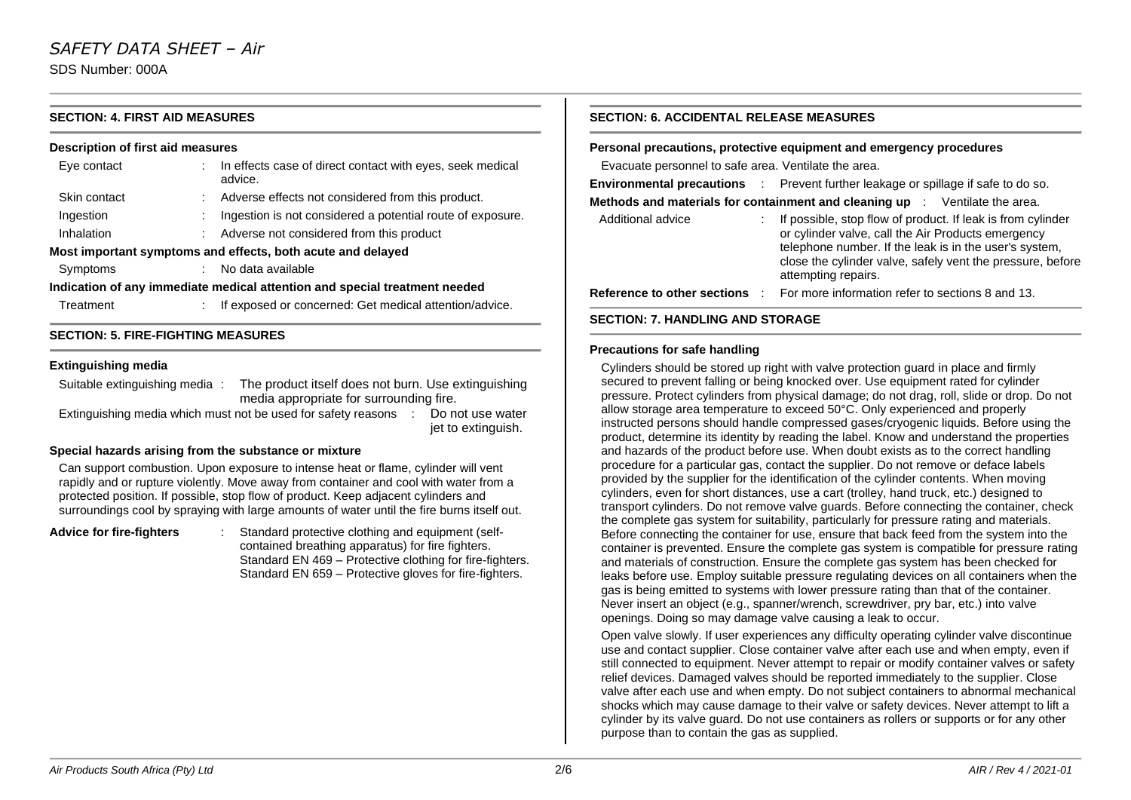# **SECTION: 4. FIRST AID MEASURES**

#### **Description of first aid measures**

| Eye contact  | In effects case of direct contact with eyes, seek medical<br>advice.       |
|--------------|----------------------------------------------------------------------------|
| Skin contact | Adverse effects not considered from this product.                          |
| Ingestion    | Ingestion is not considered a potential route of exposure.                 |
| Inhalation   | Adverse not considered from this product                                   |
|              | Most important symptoms and effects, both acute and delayed                |
| Symptoms     | No data available                                                          |
|              | Indication of any immediate medical attention and special treatment needed |
| Treatment    | If exposed or concerned: Get medical attention/advice.                     |

### **SECTION: 5. FIRE-FIGHTING MEASURES**

#### **Extinguishing media**

Suitable extinguishing media : The product itself does not burn. Use extinguishing media appropriate for surrounding fire. Extinguishing media which must not be used for safety reasons : Do not use water

jet to extinguish.

#### **Special hazards arising from the substance or mixture**

Can support combustion. Upon exposure to intense heat or flame, cylinder will vent rapidly and or rupture violently. Move away from container and cool with water from a protected position. If possible, stop flow of product. Keep adjacent cylinders and surroundings cool by spraying with large amounts of water until the fire burns itself out.

**Advice for fire-fighters** : Standard protective clothing and equipment (selfcontained breathing apparatus) for fire fighters. Standard EN 469 – Protective clothing for fire-fighters. Standard EN 659 – Protective gloves for fire-fighters.

# **SECTION: 6. ACCIDENTAL RELEASE MEASURES**

**Personal precautions, protective equipment and emergency procedures**

Evacuate personnel to safe area. Ventilate the area.

|                   | <b>Environmental precautions</b> : Prevent further leakage or spillage if safe to do so.                                                                                                                                                                         |
|-------------------|------------------------------------------------------------------------------------------------------------------------------------------------------------------------------------------------------------------------------------------------------------------|
|                   | <b>Methods and materials for containment and cleaning up</b> $\therefore$ Ventilate the area.                                                                                                                                                                    |
| Additional advice | If possible, stop flow of product. If leak is from cylinder<br>or cylinder valve, call the Air Products emergency<br>telephone number. If the leak is in the user's system,<br>close the cylinder valve, safely vent the pressure, before<br>attempting repairs. |
|                   | <b>Reference to other sections :</b> For more information refer to sections 8 and 13.                                                                                                                                                                            |
|                   |                                                                                                                                                                                                                                                                  |

#### **SECTION: 7. HANDLING AND STORAGE**

#### **Precautions for safe handling**

Cylinders should be stored up right with valve protection guard in place and firmly secured to prevent falling or being knocked over. Use equipment rated for cylinder pressure. Protect cylinders from physical damage; do not drag, roll, slide or drop. Do not allow storage area temperature to exceed 50°C. Only experienced and properly instructed persons should handle compressed gases/cryogenic liquids. Before using the product, determine its identity by reading the label. Know and understand the properties and hazards of the product before use. When doubt exists as to the correct handling procedure for a particular gas, contact the supplier. Do not remove or deface labels provided by the supplier for the identification of the cylinder contents. When moving cylinders, even for short distances, use a cart (trolley, hand truck, etc.) designed to transport cylinders. Do not remove valve guards. Before connecting the container, check the complete gas system for suitability, particularly for pressure rating and materials. Before connecting the container for use, ensure that back feed from the system into the container is prevented. Ensure the complete gas system is compatible for pressure rating and materials of construction. Ensure the complete gas system has been checked for leaks before use. Employ suitable pressure regulating devices on all containers when the gas is being emitted to systems with lower pressure rating than that of the container. Never insert an object (e.g., spanner/wrench, screwdriver, pry bar, etc.) into valve openings. Doing so may damage valve causing a leak to occur.

Open valve slowly. If user experiences any difficulty operating cylinder valve discontinue use and contact supplier. Close container valve after each use and when empty, even if still connected to equipment. Never attempt to repair or modify container valves or safety relief devices. Damaged valves should be reported immediately to the supplier. Close valve after each use and when empty. Do not subject containers to abnormal mechanical shocks which may cause damage to their valve or safety devices. Never attempt to lift a cylinder by its valve guard. Do not use containers as rollers or supports or for any other purpose than to contain the gas as supplied.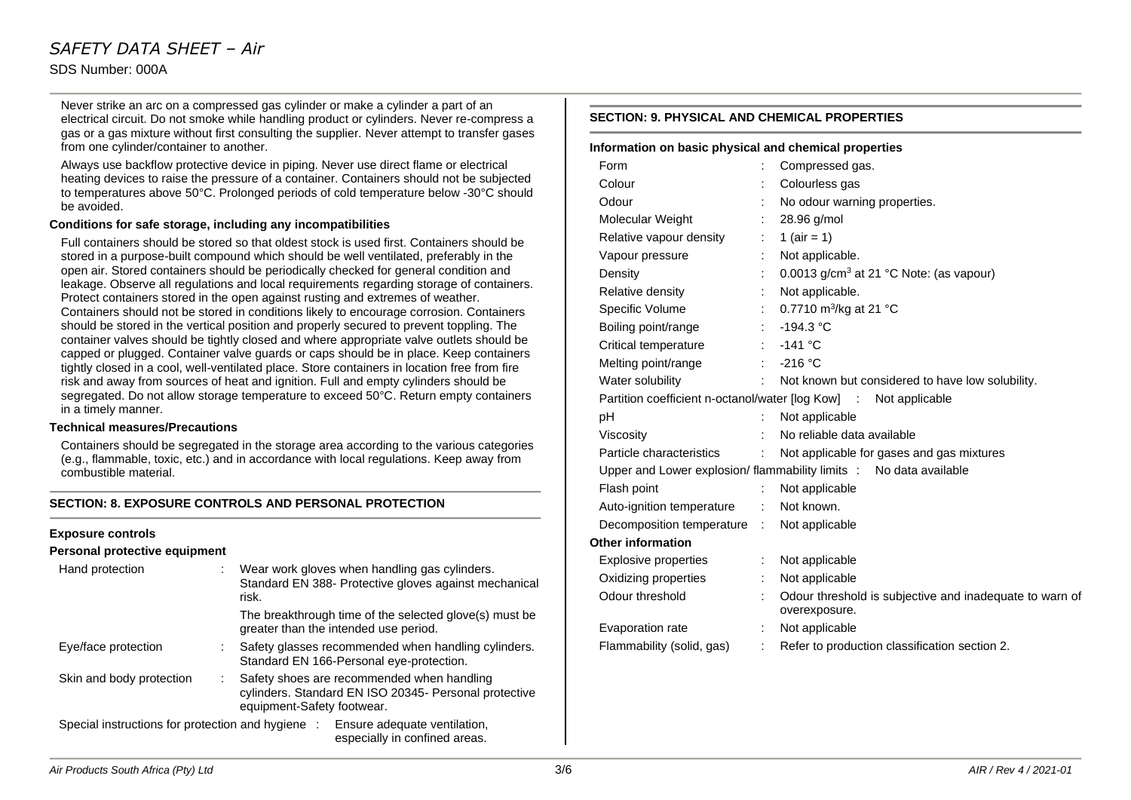# *SAFETY DATA SHEET – Air* SDS Number: 000A

Never strike an arc on a compressed gas cylinder or make a cylinder a part of an electrical circuit. Do not smoke while handling product or cylinders. Never re-compress a gas or a gas mixture without first consulting the supplier. Never attempt to transfer gases from one cylinder/container to another.

Always use backflow protective device in piping. Never use direct flame or electrical heating devices to raise the pressure of a container. Containers should not be subjected to temperatures above 50°C. Prolonged periods of cold temperature below -30°C should be avoided.

#### **Conditions for safe storage, including any incompatibilities**

Full containers should be stored so that oldest stock is used first. Containers should be stored in a purpose-built compound which should be well ventilated, preferably in the open air. Stored containers should be periodically checked for general condition and leakage. Observe all regulations and local requirements regarding storage of containers. Protect containers stored in the open against rusting and extremes of weather. Containers should not be stored in conditions likely to encourage corrosion. Containers should be stored in the vertical position and properly secured to prevent toppling. The container valves should be tightly closed and where appropriate valve outlets should be capped or plugged. Container valve guards or caps should be in place. Keep containers tightly closed in a cool, well-ventilated place. Store containers in location free from fire risk and away from sources of heat and ignition. Full and empty cylinders should be segregated. Do not allow storage temperature to exceed 50°C. Return empty containers in a timely manner.

#### **Technical measures/Precautions**

Containers should be segregated in the storage area according to the various categories (e.g., flammable, toxic, etc.) and in accordance with local regulations. Keep away from combustible material.

### **SECTION: 8. EXPOSURE CONTROLS AND PERSONAL PROTECTION**

#### **Exposure controls**

#### **Personal protective equipment**

| Hand protection          | Wear work gloves when handling gas cylinders.<br>Standard EN 388- Protective gloves against mechanical<br>risk.                   |
|--------------------------|-----------------------------------------------------------------------------------------------------------------------------------|
|                          | The breakthrough time of the selected glove(s) must be<br>greater than the intended use period.                                   |
| Eye/face protection      | Safety glasses recommended when handling cylinders.<br>Standard EN 166-Personal eye-protection.                                   |
| Skin and body protection | Safety shoes are recommended when handling<br>cylinders. Standard EN ISO 20345- Personal protective<br>equipment-Safety footwear. |
|                          | Special instructions for protection and hygiene : Ensure adequate ventilation,<br>especially in confined areas.                   |

# **SECTION: 9. PHYSICAL AND CHEMICAL PROPERTIES**

| Information on basic physical and chemical properties |                          |                                                                          |
|-------------------------------------------------------|--------------------------|--------------------------------------------------------------------------|
| Form                                                  |                          | Compressed gas.                                                          |
| Colour                                                |                          | Colourless gas                                                           |
| Odour                                                 |                          | No odour warning properties.                                             |
| Molecular Weight                                      |                          | 28.96 g/mol                                                              |
| Relative vapour density                               | ÷                        | 1 ( $air = 1$ )                                                          |
| Vapour pressure                                       | ÷.                       | Not applicable.                                                          |
| Density                                               | ÷                        | 0.0013 g/cm <sup>3</sup> at 21 °C Note: (as vapour)                      |
| Relative density                                      | ÷                        | Not applicable.                                                          |
| Specific Volume                                       | ÷.                       | 0.7710 m <sup>3</sup> /kg at 21 °C                                       |
| Boiling point/range                                   | $\mathcal{L}_{\rm{max}}$ | $-194.3 °C$                                                              |
| Critical temperature                                  |                          | $-141$ °C                                                                |
| Melting point/range                                   |                          | $\therefore$ -216 °C                                                     |
| Water solubility                                      |                          | : Not known but considered to have low solubility.                       |
|                                                       |                          | Partition coefficient n-octanol/water [log Kow] : Not applicable         |
| рH                                                    |                          | Not applicable                                                           |
| Viscosity                                             |                          | No reliable data available                                               |
| Particle characteristics                              | ÷.                       | Not applicable for gases and gas mixtures                                |
|                                                       |                          | Upper and Lower explosion/ flammability limits : No data available       |
| Flash point                                           | ÷                        | Not applicable                                                           |
| Auto-ignition temperature                             | t.                       | Not known.                                                               |
| Decomposition temperature : Not applicable            |                          |                                                                          |
| <b>Other information</b>                              |                          |                                                                          |
| Explosive properties                                  | ÷                        | Not applicable                                                           |
| Oxidizing properties                                  |                          | Not applicable                                                           |
| Odour threshold                                       |                          | Odour threshold is subjective and inadequate to warn of<br>overexposure. |
| Evaporation rate                                      |                          | Not applicable                                                           |
| Flammability (solid, gas)                             | t.                       | Refer to production classification section 2.                            |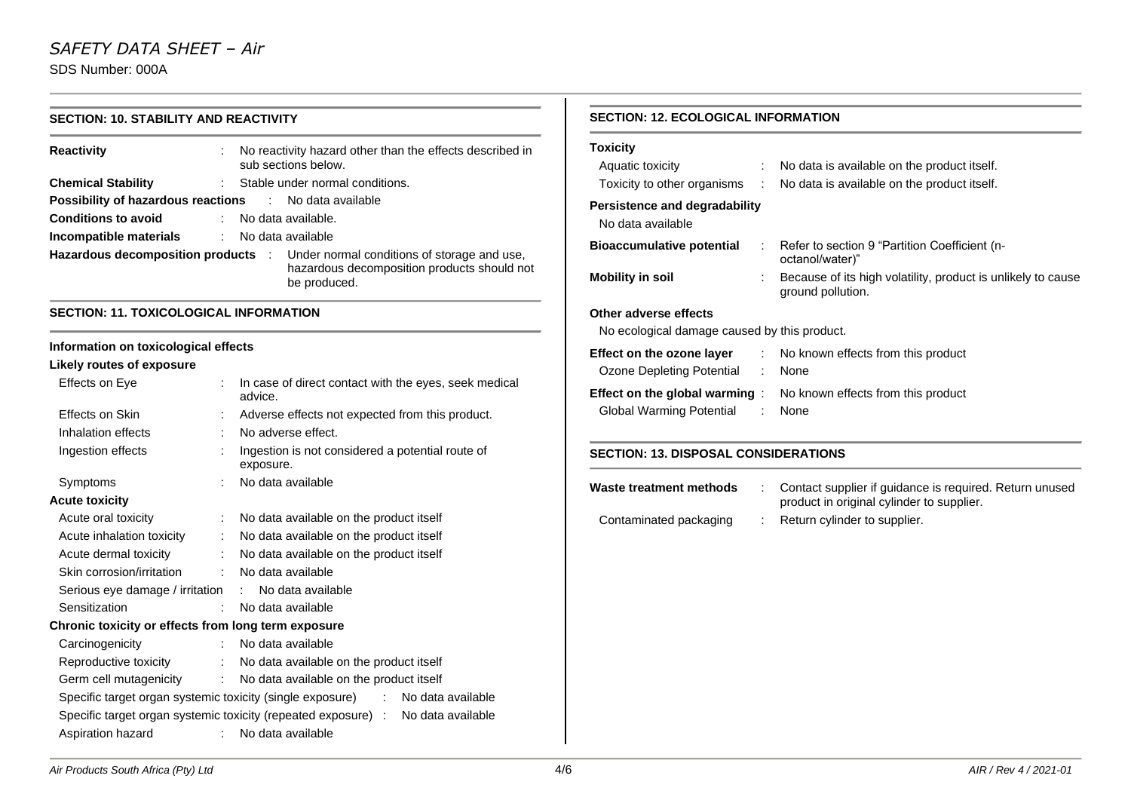# **SECTION: 10. STABILITY AND REACTIVITY**

| <b>Reactivity</b><br>÷.                                               | No reactivity hazard other than the effects described in<br>sub sections below.                                                               |
|-----------------------------------------------------------------------|-----------------------------------------------------------------------------------------------------------------------------------------------|
| <b>Chemical Stability</b>                                             | : Stable under normal conditions.                                                                                                             |
| <b>Possibility of hazardous reactions Fig. 2.1. No data available</b> |                                                                                                                                               |
| <b>Conditions to avoid</b>                                            | : No data available.                                                                                                                          |
| <b>Incompatible materials</b> : No data available                     |                                                                                                                                               |
|                                                                       | Hazardous decomposition products : Under normal conditions of storage and use,<br>hazardous decomposition products should not<br>be produced. |

# **SECTION: 11. TOXICOLOGICAL INFORMATION**

# **Information on toxicological effects**

# **Likely routes of exposure**

| Effects on Eye                                      |                              | In case of direct contact with the eyes, seek medical<br>advice.                |
|-----------------------------------------------------|------------------------------|---------------------------------------------------------------------------------|
| Effects on Skin                                     |                              | Adverse effects not expected from this product.                                 |
| Inhalation effects                                  |                              | No adverse effect.                                                              |
| Ingestion effects                                   |                              | Ingestion is not considered a potential route of<br>exposure.                   |
| Symptoms                                            | ÷.                           | No data available                                                               |
| <b>Acute toxicity</b>                               |                              |                                                                                 |
| Acute oral toxicity<br><b>Contract Contract</b>     |                              | No data available on the product itself                                         |
| Acute inhalation toxicity                           | $\mathcal{L}_{\mathrm{max}}$ | No data available on the product itself                                         |
| Acute dermal toxicity                               |                              | : No data available on the product itself                                       |
| Skin corrosion/irritation : No data available       |                              |                                                                                 |
| Serious eye damage / irritation : No data available |                              |                                                                                 |
| Sensitization                                       |                              | : No data available                                                             |
| Chronic toxicity or effects from long term exposure |                              |                                                                                 |
| Carcinogenicity                                     |                              | : No data available                                                             |
|                                                     |                              | Reproductive toxicity : No data available on the product itself                 |
|                                                     |                              | Germ cell mutagenicity : No data available on the product itself                |
|                                                     |                              | Specific target organ systemic toxicity (single exposure) : No data available   |
|                                                     |                              | Specific target organ systemic toxicity (repeated exposure) : No data available |
| Aspiration hazard                                   |                              | : No data available                                                             |

# **SECTION: 12. ECOLOGICAL INFORMATION**

| <b>Toxicity</b>                                    |    |                                                                                   |
|----------------------------------------------------|----|-----------------------------------------------------------------------------------|
| Aquatic toxicity                                   |    | : No data is available on the product itself.                                     |
| Toxicity to other organisms :                      |    | No data is available on the product itself.                                       |
| Persistence and degradability<br>No data available |    |                                                                                   |
| <b>Bioaccumulative potential</b>                   |    | : Refer to section 9 "Partition Coefficient (n-<br>octanol/water)"                |
| <b>Mobility in soil</b>                            |    | Because of its high volatility, product is unlikely to cause<br>ground pollution. |
| Other adverse effects                              |    |                                                                                   |
| No ecological damage caused by this product.       |    |                                                                                   |
| Effect on the ozone layer                          |    | : No known effects from this product                                              |
| Ozone Depleting Potential                          | ÷. | None                                                                              |
| Global Warming Potential                           | ÷. | <b>Effect on the global warming</b> : No known effects from this product<br>None  |

# **SECTION: 13. DISPOSAL CONSIDERATIONS**

| Waste treatment methods | Contact supplier if quidance is required. Return unused<br>product in original cylinder to supplier. |
|-------------------------|------------------------------------------------------------------------------------------------------|
| Contaminated packaging  | Return cylinder to supplier.                                                                         |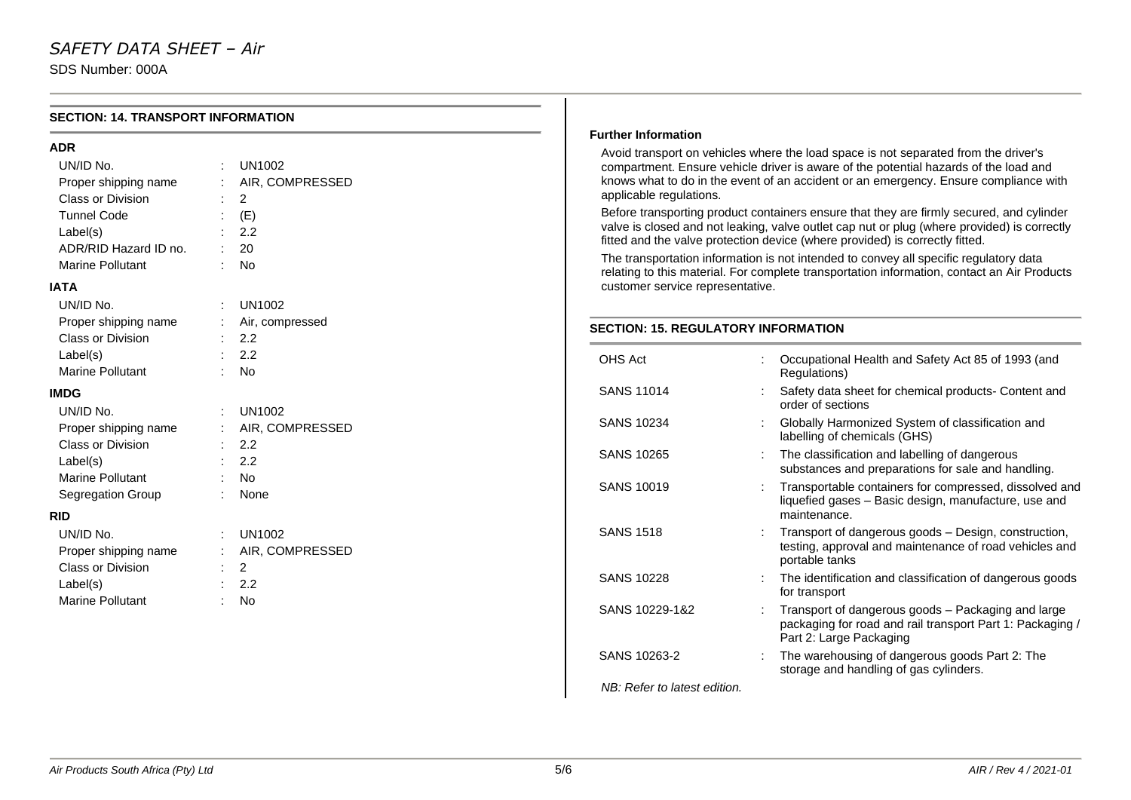SDS Number: 000A

| <b>SECTION: 14. TRANSPORT INFORMATION</b>                                                                                                    |                                                                              |                                            |                                                                                                                                                                                                                                                                                                                                                                                                                                                                                                                                                                                                                                                                                                                                        |  |
|----------------------------------------------------------------------------------------------------------------------------------------------|------------------------------------------------------------------------------|--------------------------------------------|----------------------------------------------------------------------------------------------------------------------------------------------------------------------------------------------------------------------------------------------------------------------------------------------------------------------------------------------------------------------------------------------------------------------------------------------------------------------------------------------------------------------------------------------------------------------------------------------------------------------------------------------------------------------------------------------------------------------------------------|--|
| <b>ADR</b>                                                                                                                                   |                                                                              | <b>Further Information</b>                 |                                                                                                                                                                                                                                                                                                                                                                                                                                                                                                                                                                                                                                                                                                                                        |  |
| UN/ID No.<br>Proper shipping name<br>Class or Division<br><b>Tunnel Code</b><br>Label(s)<br>ADR/RID Hazard ID no.<br><b>Marine Pollutant</b> | <b>UN1002</b><br>AIR, COMPRESSED<br>$\overline{2}$<br>(E)<br>2.2<br>20<br>No | applicable regulations.                    | Avoid transport on vehicles where the load space is not separated from the driver's<br>compartment. Ensure vehicle driver is aware of the potential hazards of the load and<br>knows what to do in the event of an accident or an emergency. Ensure compliance with<br>Before transporting product containers ensure that they are firmly secured, and cylinder<br>valve is closed and not leaking, valve outlet cap nut or plug (where provided) is correctly<br>fitted and the valve protection device (where provided) is correctly fitted.<br>The transportation information is not intended to convey all specific regulatory data<br>relating to this material. For complete transportation information, contact an Air Products |  |
| <b>IATA</b>                                                                                                                                  |                                                                              | customer service representative.           |                                                                                                                                                                                                                                                                                                                                                                                                                                                                                                                                                                                                                                                                                                                                        |  |
| UN/ID No.<br><b>UN1002</b><br>Air, compressed<br>Proper shipping name<br>Class or Division<br>2.2                                            |                                                                              | <b>SECTION: 15. REGULATORY INFORMATION</b> |                                                                                                                                                                                                                                                                                                                                                                                                                                                                                                                                                                                                                                                                                                                                        |  |
| Label(s)<br>Marine Pollutant                                                                                                                 | 2.2<br>No                                                                    | OHS Act                                    | Occupational Health and Safety Act 85 of 1993 (and<br>Regulations)                                                                                                                                                                                                                                                                                                                                                                                                                                                                                                                                                                                                                                                                     |  |
| <b>IMDG</b><br>UN/ID No.                                                                                                                     | <b>UN1002</b>                                                                | <b>SANS 11014</b>                          | Safety data sheet for chemical products- Content and<br>order of sections                                                                                                                                                                                                                                                                                                                                                                                                                                                                                                                                                                                                                                                              |  |
| Proper shipping name                                                                                                                         | AIR, COMPRESSED                                                              | <b>SANS 10234</b>                          | Globally Harmonized System of classification and<br>labelling of chemicals (GHS)                                                                                                                                                                                                                                                                                                                                                                                                                                                                                                                                                                                                                                                       |  |
| Class or Division<br>Label(s)                                                                                                                | 2.2<br>2.2                                                                   | <b>SANS 10265</b>                          | The classification and labelling of dangerous<br>substances and preparations for sale and handling.                                                                                                                                                                                                                                                                                                                                                                                                                                                                                                                                                                                                                                    |  |
| Marine Pollutant<br>Segregation Group<br><b>RID</b>                                                                                          | No<br>None                                                                   | <b>SANS 10019</b>                          | Transportable containers for compressed, dissolved and<br>liquefied gases - Basic design, manufacture, use and<br>maintenance.                                                                                                                                                                                                                                                                                                                                                                                                                                                                                                                                                                                                         |  |
| UN/ID No.<br>Proper shipping name                                                                                                            | <b>UN1002</b><br>AIR, COMPRESSED                                             | <b>SANS 1518</b>                           | Transport of dangerous goods - Design, construction,<br>testing, approval and maintenance of road vehicles and<br>portable tanks                                                                                                                                                                                                                                                                                                                                                                                                                                                                                                                                                                                                       |  |
| Class or Division<br>Label(s)                                                                                                                | 2<br>2.2                                                                     | <b>SANS 10228</b>                          | The identification and classification of dangerous goods<br>for transport                                                                                                                                                                                                                                                                                                                                                                                                                                                                                                                                                                                                                                                              |  |
| Marine Pollutant                                                                                                                             | $:$ No                                                                       | SANS 10229-1&2                             | Transport of dangerous goods - Packaging and large<br>packaging for road and rail transport Part 1: Packaging /<br>Part 2: Large Packaging                                                                                                                                                                                                                                                                                                                                                                                                                                                                                                                                                                                             |  |
|                                                                                                                                              |                                                                              | SANS 10263-2                               | The warehousing of dangerous goods Part 2: The<br>storage and handling of gas cylinders.                                                                                                                                                                                                                                                                                                                                                                                                                                                                                                                                                                                                                                               |  |

*NB: Refer to latest edition.*